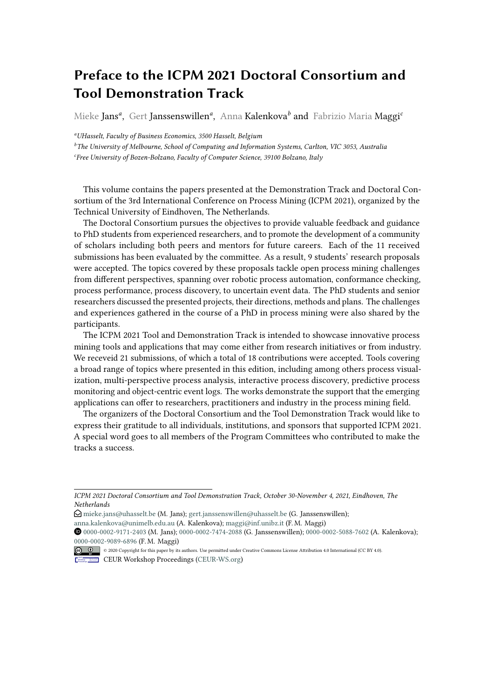# **Preface to the ICPM 2021 Doctoral Consortium and Tool Demonstration Track**

Mieke Jans*<sup>a</sup>* , Gert Janssenswillen*<sup>a</sup>* , Anna Kalenkova*<sup>b</sup>* and Fabrizio Maria Maggi*<sup>c</sup>*

*<sup>a</sup>UHasselt, Faculty of Business Economics, 3500 Hasselt, Belgium*

*<sup>b</sup>The University of Melbourne, School of Computing and Information Systems, Carlton, VIC 3053, Australia c Free University of Bozen-Bolzano, Faculty of Computer Science, 39100 Bolzano, Italy*

This volume contains the papers presented at the Demonstration Track and Doctoral Consortium of the 3rd International Conference on Process Mining (ICPM 2021), organized by the Technical University of Eindhoven, The Netherlands.

The Doctoral Consortium pursues the objectives to provide valuable feedback and guidance to PhD students from experienced researchers, and to promote the development of a community of scholars including both peers and mentors for future careers. Each of the 11 received submissions has been evaluated by the committee. As a result, 9 students' research proposals were accepted. The topics covered by these proposals tackle open process mining challenges from different perspectives, spanning over robotic process automation, conformance checking, process performance, process discovery, to uncertain event data. The PhD students and senior researchers discussed the presented projects, their directions, methods and plans. The challenges and experiences gathered in the course of a PhD in process mining were also shared by the participants.

The ICPM 2021 Tool and Demonstration Track is intended to showcase innovative process mining tools and applications that may come either from research initiatives or from industry. We receveid 21 submissions, of which a total of 18 contributions were accepted. Tools covering a broad range of topics where presented in this edition, including among others process visualization, multi-perspective process analysis, interactive process discovery, predictive process monitoring and object-centric event logs. The works demonstrate the support that the emerging applications can offer to researchers, practitioners and industry in the process mining field.

The organizers of the Doctoral Consortium and the Tool Demonstration Track would like to express their gratitude to all individuals, institutions, and sponsors that supported ICPM 2021. A special word goes to all members of the Program Committees who contributed to make the tracks a success.

*ICPM 2021 Doctoral Consortium and Tool Demonstration Track, October 30-November 4, 2021, Eindhoven, The Netherlands*

 $\bigcirc$  [mieke.jans@uhasselt.be](mailto:mieke.jans@uhasselt.be) (M. Jans); [gert.janssenswillen@uhasselt.be](mailto:gert.janssenswillen@uhasselt.be) (G. Janssenswillen);

[anna.kalenkova@unimelb.edu.au](mailto:anna.kalenkova@unimelb.edu.au) (A. Kalenkova); [maggi@inf.unibz.it](mailto:maggi@inf.unibz.it) (F. M. Maggi)

Orcid [0000-0002-9171-2403](https://orcid.org/0000-0002-9171-2403) (M. Jans); [0000-0002-7474-2088](https://orcid.org/0000-0002-7474-2088) (G. Janssenswillen); [0000-0002-5088-7602](https://orcid.org/0000-0002-5088-7602) (A. Kalenkova); [0000-0002-9089-6896](https://orcid.org/0000-0002-9089-6896) (F. M. Maggi)

<sup>© 2020</sup> Copyright for this paper by its authors. Use permitted under Creative Commons License Attribution 4.0 International (CC BY 4.0).

CEUR Workshop [Proceedings](http://ceur-ws.org) [\(CEUR-WS.org\)](http://ceur-ws.org)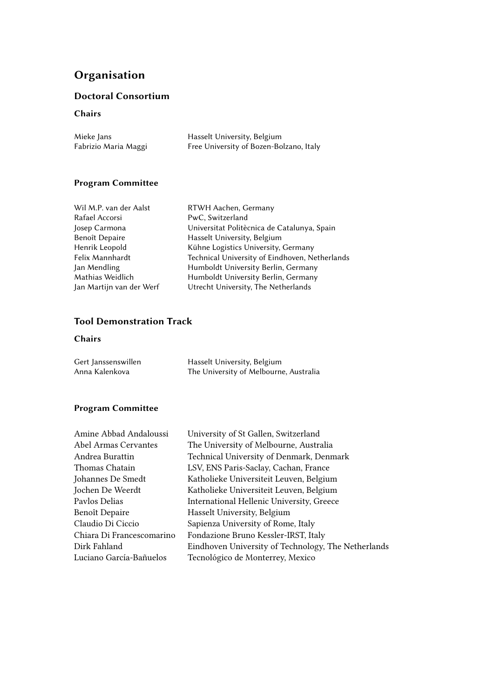# **Organisation**

### **Doctoral Consortium**

#### **Chairs**

| Mieke Jans           | Hasselt University, Belgium             |
|----------------------|-----------------------------------------|
| Fabrizio Maria Maggi | Free University of Bozen-Bolzano, Italy |

### **Program Committee**

| Wil M.P. van der Aalst   | RTWH Aachen, Germany                           |
|--------------------------|------------------------------------------------|
| Rafael Accorsi           | PwC, Switzerland                               |
| Josep Carmona            | Universitat Politècnica de Catalunya, Spain    |
| Benoît Depaire           | Hasselt University, Belgium                    |
| Henrik Leopold           | Kühne Logistics University, Germany            |
| Felix Mannhardt          | Technical University of Eindhoven, Netherlands |
| Jan Mendling             | Humboldt University Berlin, Germany            |
| Mathias Weidlich         | Humboldt University Berlin, Germany            |
| Jan Martijn van der Werf | Utrecht University, The Netherlands            |
|                          |                                                |

## **Tool Demonstration Track**

#### **Chairs**

| Gert Janssenswillen | Hasselt University, Belgium            |
|---------------------|----------------------------------------|
| Anna Kalenkova      | The University of Melbourne, Australia |

### **Program Committee**

| Amine Abbad Andaloussi      | University of St Gallen, Switzerland                |
|-----------------------------|-----------------------------------------------------|
| <b>Abel Armas Cervantes</b> | The University of Melbourne, Australia              |
| Andrea Burattin             | Technical University of Denmark, Denmark            |
| Thomas Chatain              | LSV, ENS Paris-Saclay, Cachan, France               |
| Johannes De Smedt           | Katholieke Universiteit Leuven, Belgium             |
| Jochen De Weerdt            | Katholieke Universiteit Leuven, Belgium             |
| Pavlos Delias               | International Hellenic University, Greece           |
| Benoît Depaire              | Hasselt University, Belgium                         |
| Claudio Di Ciccio           | Sapienza University of Rome, Italy                  |
| Chiara Di Francescomarino   | Fondazione Bruno Kessler-IRST, Italy                |
| Dirk Fahland                | Eindhoven University of Technology, The Netherlands |
| Luciano García-Bañuelos     | Tecnológico de Monterrey, Mexico                    |
|                             |                                                     |